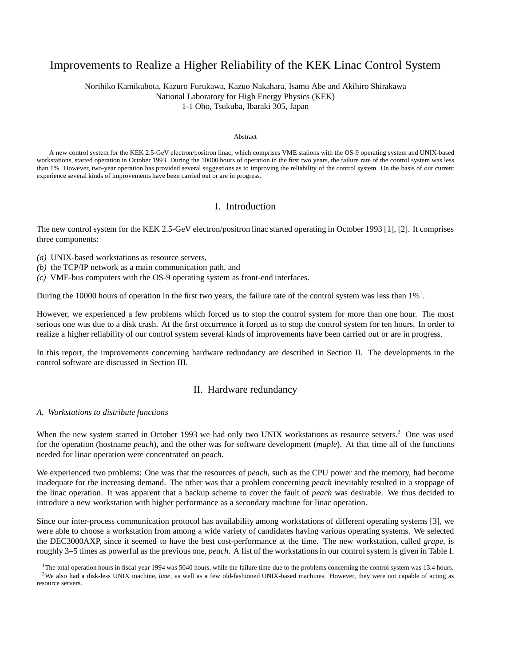# Improvements to Realize a Higher Reliability of the KEK Linac Control System

Norihiko Kamikubota, Kazuro Furukawa, Kazuo Nakahara, Isamu Abe and Akihiro Shirakawa National Laboratory for High Energy Physics (KEK) 1-1 Oho, Tsukuba, Ibaraki 305, Japan

#### Abstract

A new control system for the KEK 2.5-GeV electron/positron linac, which comprises VME stations with the OS-9 operating system and UNIX-based workstations, started operation in October 1993. During the 10000 hours of operation in the first two years, the failure rate of the control system was less than 1%. However, two-year operation has provided several suggestions as to improving the reliability of the control system. On the basis of our current experience several kinds of improvements have been carried out or are in progress.

## I. Introduction

The new control system for the KEK 2.5-GeV electron/positron linac started operating in October 1993 [1], [2]. It comprises three components:

- *(a)* UNIX-based workstations as resource servers,
- *(b)* the TCP/IP network as a main communication path, and
- *(c)* VME-bus computers with the OS-9 operating system as front-end interfaces.

During the 10000 hours of operation in the first two years, the failure rate of the control system was less than  $1\%$ <sup>1</sup>.

However, we experienced a few problems which forced us to stop the control system for more than one hour. The most serious one was due to a disk crash. At the first occurrence it forced us to stop the control system for ten hours. In order to realize a higher reliability of our control system several kinds of improvements have been carried out or are in progress.

In this report, the improvements concerning hardware redundancy are described in Section II. The developments in the control software are discussed in Section III.

### II. Hardware redundancy

#### *A. Workstations to distribute functions*

When the new system started in October 1993 we had only two UNIX workstations as resource servers.<sup>2</sup> One was used for the operation (hostname *peach*), and the other was for software development (*maple*). At that time all of the functions needed for linac operation were concentrated on *peach*.

We experienced two problems: One was that the resources of *peach*, such as the CPU power and the memory, had become inadequate for the increasing demand. The other was that a problem concerning *peach* inevitably resulted in a stoppage of the linac operation. It was apparent that a backup scheme to cover the fault of *peach* was desirable. We thus decided to introduce a new workstation with higher performance as a secondary machine for linac operation.

Since our inter-process communication protocol has availability among workstations of different operating systems [3], we were able to choose a workstation from among a wide variety of candidates having various operating systems. We selected the DEC3000AXP, since it seemed to have the best cost-performance at the time. The new workstation, called *grape*, is roughly 3–5 times as powerful as the previous one, *peach*. A list of the workstations in our control system is given in Table I.

 $1$ The total operation hours in fiscal year 1994 was 5040 hours, while the failure time due to the problems concerning the control system was 13.4 hours. <sup>2</sup>We also had a disk-less UNIX machine, *lime*, as well as a few old-fashioned UNIX-based machines. However, they were not capable of acting as resource servers.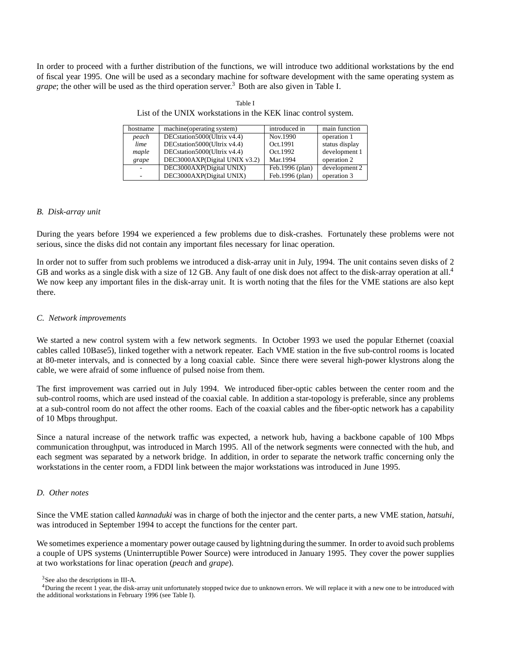In order to proceed with a further distribution of the functions, we will introduce two additional workstations by the end of fiscal year 1995. One will be used as a secondary machine for software development with the same operating system as *grape*; the other will be used as the third operation server.<sup>3</sup> Both are also given in Table I.

| Table I                                                        |  |
|----------------------------------------------------------------|--|
| List of the UNIX workstations in the KEK linac control system. |  |

| hostname | machine (operating system)    | introduced in   | main function  |
|----------|-------------------------------|-----------------|----------------|
| peach    | DECstation5000(Ultrix v4.4)   | Nov.1990        | operation 1    |
| lime     | DECstation5000(Ultrix v4.4)   | Oct.1991        | status display |
| maple    | DECstation5000(Ultrix v4.4)   | Oct.1992        | development 1  |
| grape    | DEC3000AXP(Digital UNIX v3.2) | Mar.1994        | operation 2    |
|          | DEC3000AXP(Digital UNIX)      | Feb.1996 (plan) | development 2  |
|          | DEC3000AXP(Digital UNIX)      | Feb.1996 (plan) | operation 3    |

#### *B. Disk-array unit*

During the years before 1994 we experienced a few problems due to disk-crashes. Fortunately these problems were not serious, since the disks did not contain any important files necessary for linac operation.

In order not to suffer from such problems we introduced a disk-array unit in July, 1994. The unit contains seven disks of 2 GB and works as a single disk with a size of 12 GB. Any fault of one disk does not affect to the disk-array operation at all.<sup>4</sup> We now keep any important files in the disk-array unit. It is worth noting that the files for the VME stations are also kept there.

#### *C. Network improvements*

We started a new control system with a few network segments. In October 1993 we used the popular Ethernet (coaxial cables called 10Base5), linked together with a network repeater. Each VME station in the five sub-control rooms is located at 80-meter intervals, and is connected by a long coaxial cable. Since there were several high-power klystrons along the cable, we were afraid of some influence of pulsed noise from them.

The first improvement was carried out in July 1994. We introduced fiber-optic cables between the center room and the sub-control rooms, which are used instead of the coaxial cable. In addition a star-topology is preferable, since any problems at a sub-control room do not affect the other rooms. Each of the coaxial cables and the fiber-optic network has a capability of 10 Mbps throughput.

Since a natural increase of the network traffic was expected, a network hub, having a backbone capable of 100 Mbps communication throughput, was introduced in March 1995. All of the network segments were connected with the hub, and each segment was separated by a network bridge. In addition, in order to separate the network traffic concerning only the workstations in the center room, a FDDI link between the major workstations was introduced in June 1995.

#### *D. Other notes*

Since the VME station called *kannaduki* was in charge of both the injector and the center parts, a new VME station, *hatsuhi*, was introduced in September 1994 to accept the functions for the center part.

We sometimes experience a momentary power outage caused by lightning during the summer. In order to avoid such problems a couple of UPS systems (Uninterruptible Power Source) were introduced in January 1995. They cover the power supplies at two workstations for linac operation (*peach* and *grape*).

<sup>3</sup>See also the descriptions in III-A.

<sup>&</sup>lt;sup>4</sup>During the recent 1 year, the disk-array unit unfortunately stopped twice due to unknown errors. We will replace it with a new one to be introduced with the additional workstations in February 1996 (see Table I).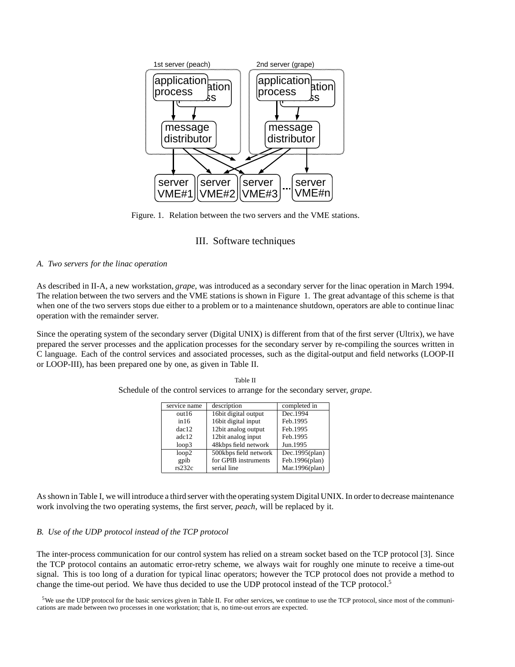

Figure. 1. Relation between the two servers and the VME stations.

### III. Software techniques

### *A. Two servers for the linac operation*

As described in II-A, a new workstation, *grape*, was introduced as a secondary server for the linac operation in March 1994. The relation between the two servers and the VME stations is shown in Figure 1. The great advantage of this scheme is that when one of the two servers stops due either to a problem or to a maintenance shutdown, operators are able to continue linac operation with the remainder server.

Since the operating system of the secondary server (Digital UNIX) is different from that of the first server (Ultrix), we have prepared the server processes and the application processes for the secondary server by re-compiling the sources written in C language. Each of the control services and associated processes, such as the digital-output and field networks (LOOP-II or LOOP-III), has been prepared one by one, as given in Table II.

| service name | description           | completed in   |
|--------------|-----------------------|----------------|
| out16        | 16bit digital output  | Dec.1994       |
| in 16        | 16bit digital input   | Feb.1995       |
| $rac{12}{2}$ | 12bit analog output   | Feb.1995       |
| adc12        | 12bit analog input    | Feb.1995       |
| loop3        | 48kbps field network  | Jun.1995       |
| loop2        | 500kbps field network | Dec.1995(plan) |
| gpib         | for GPIB instruments  | Feb.1996(plan) |
| rs232c       | serial line           | Mar.1996(plan) |

Table II Schedule of the control services to arrange for the secondary server, *grape*.

As shown in Table I, we will introduce a third server with the operating system Digital UNIX. In order to decrease maintenance work involving the two operating systems, the first server, *peach*, will be replaced by it.

### *B. Use of the UDP protocol instead of the TCP protocol*

The inter-process communication for our control system has relied on a stream socket based on the TCP protocol [3]. Since the TCP protocol contains an automatic error-retry scheme, we always wait for roughly one minute to receive a time-out signal. This is too long of a duration for typical linac operators; however the TCP protocol does not provide a method to change the time-out period. We have thus decided to use the UDP protocol instead of the TCP protocol.5

 $5$ We use the UDP protocol for the basic services given in Table II. For other services, we continue to use the TCP protocol, since most of the communications are made between two processes in one workstation; that is, no time-out errors are expected.